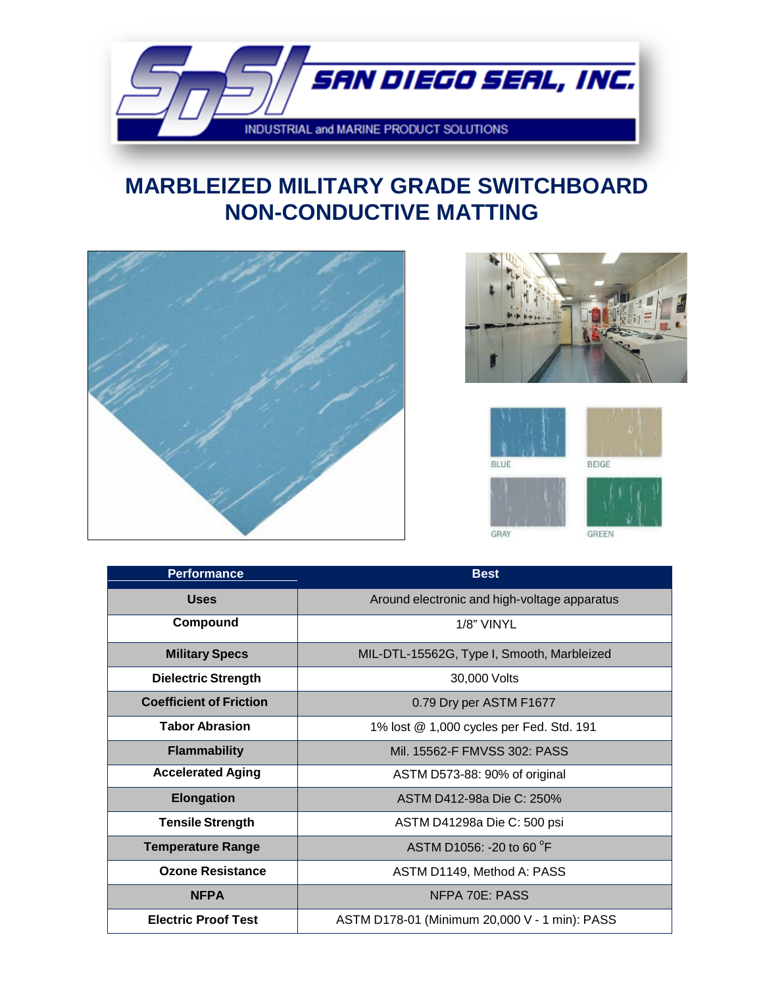

### **NON-CONDUCTIVE MATTING MARBLEIZED MILITARY GRADE SWITCHBOARD**







| <b>Performance</b>             | <b>Best</b>                                   |
|--------------------------------|-----------------------------------------------|
| <b>Uses</b>                    | Around electronic and high-voltage apparatus  |
| Compound                       | 1/8" VINYL                                    |
| <b>Military Specs</b>          | MIL-DTL-15562G, Type I, Smooth, Marbleized    |
| <b>Dielectric Strength</b>     | 30,000 Volts                                  |
| <b>Coefficient of Friction</b> | 0.79 Dry per ASTM F1677                       |
| <b>Tabor Abrasion</b>          | 1% lost @ 1,000 cycles per Fed. Std. 191      |
| <b>Flammability</b>            | Mil. 15562-F FMVSS 302: PASS                  |
| <b>Accelerated Aging</b>       | ASTM D573-88: 90% of original                 |
| <b>Elongation</b>              | ASTM D412-98a Die C: 250%                     |
| <b>Tensile Strength</b>        | ASTM D41298a Die C: 500 psi                   |
| <b>Temperature Range</b>       | ASTM D1056: -20 to 60 °F                      |
| <b>Ozone Resistance</b>        | ASTM D1149, Method A: PASS                    |
| <b>NFPA</b>                    | NFPA 70E: PASS                                |
| <b>Electric Proof Test</b>     | ASTM D178-01 (Minimum 20,000 V - 1 min): PASS |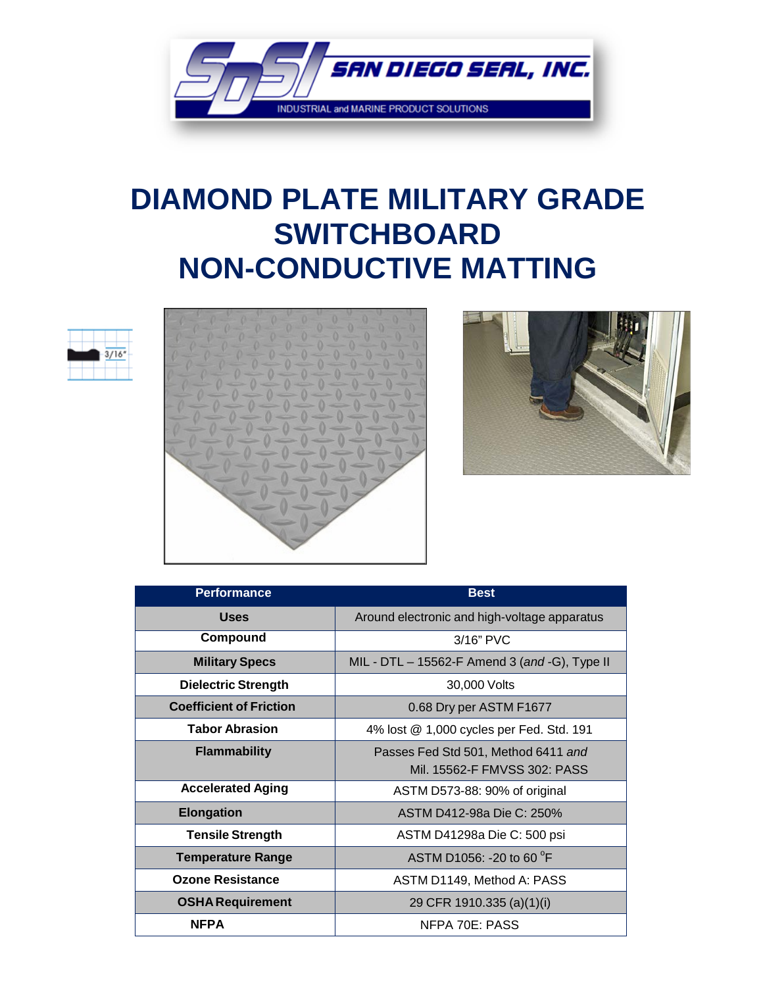

## **DIAMOND PLATE MILITARY GRADE SWITCHBOARD NON-CONDUCTIVE MATTING**







| <b>Performance</b>             | <b>Best</b>                                   |
|--------------------------------|-----------------------------------------------|
| <b>Uses</b>                    | Around electronic and high-voltage apparatus  |
| Compound                       | $3/16"$ PVC                                   |
| <b>Military Specs</b>          | MIL - DTL - 15562-F Amend 3 (and -G), Type II |
| <b>Dielectric Strength</b>     | 30,000 Volts                                  |
| <b>Coefficient of Friction</b> | 0.68 Dry per ASTM F1677                       |
| <b>Tabor Abrasion</b>          | 4% lost @ 1,000 cycles per Fed. Std. 191      |
| <b>Flammability</b>            | Passes Fed Std 501, Method 6411 and           |
|                                | Mil. 15562-F FMVSS 302: PASS                  |
| <b>Accelerated Aging</b>       | ASTM D573-88: 90% of original                 |
| <b>Elongation</b>              | ASTM D412-98a Die C: 250%                     |
| <b>Tensile Strength</b>        | ASTM D41298a Die C: 500 psi                   |
| <b>Temperature Range</b>       | ASTM D1056: -20 to 60 <sup>o</sup> F          |
| <b>Ozone Resistance</b>        | ASTM D1149, Method A: PASS                    |
| <b>OSHA Requirement</b>        | 29 CFR 1910.335 (a)(1)(i)                     |
| <b>NFPA</b>                    | NFPA 70E: PASS                                |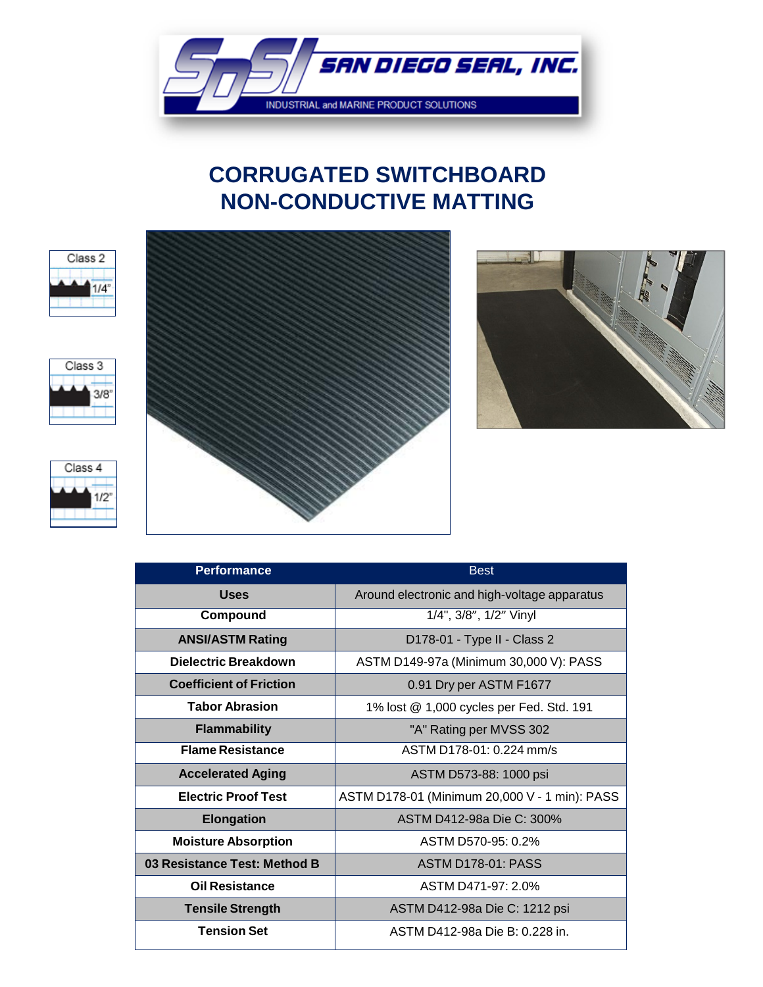

### **CORRUGATED SWITCHBOARD NON-CONDUCTIVE MATTING**











| <b>Performance</b>             | <b>Best</b>                                   |
|--------------------------------|-----------------------------------------------|
| <b>Uses</b>                    | Around electronic and high-voltage apparatus  |
| Compound                       | 1/4", 3/8", 1/2" Vinyl                        |
| <b>ANSI/ASTM Rating</b>        | D178-01 - Type II - Class 2                   |
| Dielectric Breakdown           | ASTM D149-97a (Minimum 30,000 V): PASS        |
| <b>Coefficient of Friction</b> | 0.91 Dry per ASTM F1677                       |
| <b>Tabor Abrasion</b>          | 1% lost @ 1,000 cycles per Fed. Std. 191      |
| <b>Flammability</b>            | "A" Rating per MVSS 302                       |
| <b>Flame Resistance</b>        | ASTM D178-01: 0.224 mm/s                      |
| <b>Accelerated Aging</b>       | ASTM D573-88: 1000 psi                        |
| <b>Electric Proof Test</b>     | ASTM D178-01 (Minimum 20,000 V - 1 min): PASS |
| <b>Elongation</b>              | ASTM D412-98a Die C: 300%                     |
| <b>Moisture Absorption</b>     | ASTM D570-95: 0.2%                            |
| 03 Resistance Test: Method B   | <b>ASTM D178-01: PASS</b>                     |
| <b>Oil Resistance</b>          | ASTM D471-97: 2.0%                            |
| <b>Tensile Strength</b>        | ASTM D412-98a Die C: 1212 psi                 |
| <b>Tension Set</b>             | ASTM D412-98a Die B: 0.228 in.                |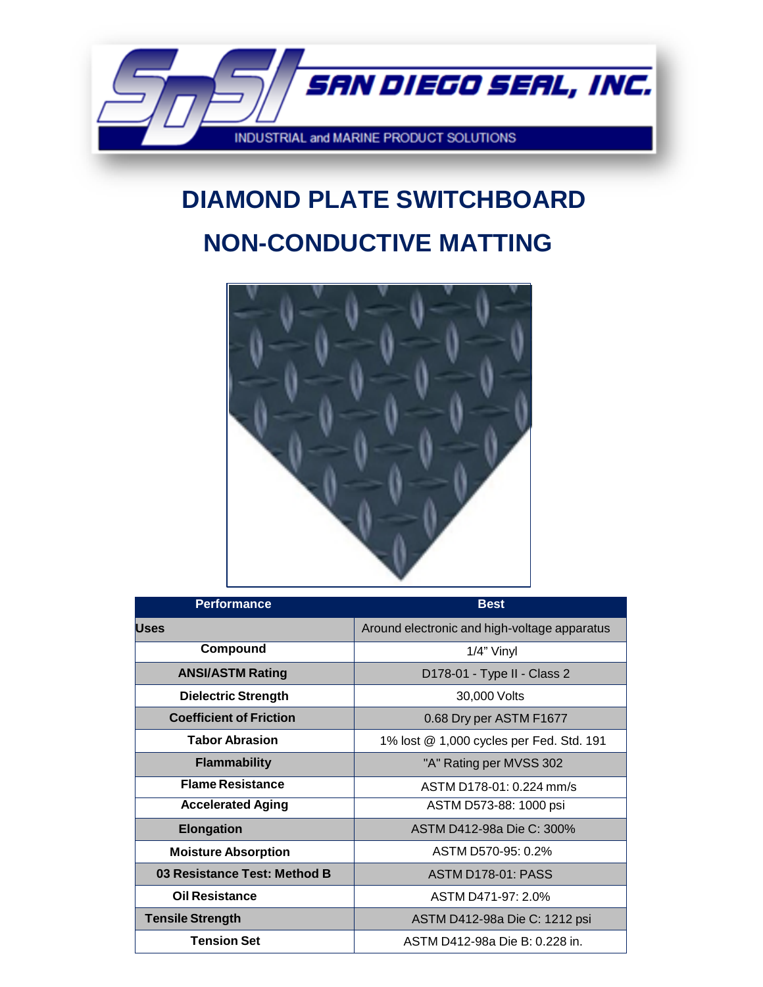

# **NON-CONDUCTIVE MATTING DIAMOND PLATE SWITCHBOARD**



| <b>Performance</b>             | <b>Best</b>                                  |
|--------------------------------|----------------------------------------------|
| <b>Uses</b>                    | Around electronic and high-voltage apparatus |
| Compound                       | $1/4$ " Vinyl                                |
| <b>ANSI/ASTM Rating</b>        | D178-01 - Type II - Class 2                  |
| <b>Dielectric Strength</b>     | 30,000 Volts                                 |
| <b>Coefficient of Friction</b> | 0.68 Dry per ASTM F1677                      |
| <b>Tabor Abrasion</b>          | 1% lost @ 1,000 cycles per Fed. Std. 191     |
| <b>Flammability</b>            | "A" Rating per MVSS 302                      |
| <b>Flame Resistance</b>        | $ASTM D178-01: 0.224 mm/s$                   |
| <b>Accelerated Aging</b>       | ASTM D573-88: 1000 psi                       |
| <b>Elongation</b>              | ASTM D412-98a Die C: 300%                    |
| <b>Moisture Absorption</b>     | ASTM D570-95: 0.2%                           |
| 03 Resistance Test: Method B   | <b>ASTM D178-01: PASS</b>                    |
| <b>Oil Resistance</b>          | ASTM D471-97: 2.0%                           |
| <b>Tensile Strength</b>        | ASTM D412-98a Die C: 1212 psi                |
| <b>Tension Set</b>             | ASTM D412-98a Die B: 0.228 in.               |